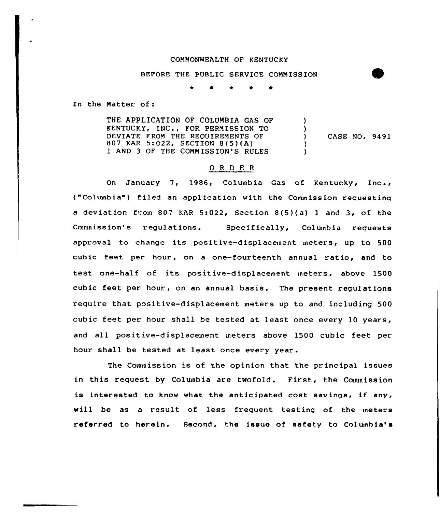## COMMONNEALTH OF KENTUCKY

BEFORE THE PUBLIC SERVICE COMMISSION

0 P

In the Matter of:

THE APPLICATION OF COLUMBIA GAS OF KENTUCKY, INC., FOR PERMISSION TO DEVIATE FROM THE REQUIREMENTS OF 807 KAR 5:022, SECTION 8(5)(A) 1 AND 3 OF THE COMMISSION'S RULES ) ) ) CASE NO. 9491 ) )

## O R D E R

On January 7, 1986, Columbia Gas of Kentucky, Inc., ("Columbia") filed an application with the Commission requesting <sup>a</sup> deviation from 807 KAR 5:022, Section 8(5)(a) <sup>1</sup> and 3, of the Commission's regulations. Specifically, Columbia requests approval to change its positive-displacement meters, up to 500 cubic feet per hour, on a one-fourteenth annual ratio, and to test one-half of its positive-displacement meters, above 1500 cubic feet per hour., on an annual basis. The present regulations require that positive-displacement meters up to and including 500 cubic feet per hour shall be tested at least once every 10 years, and all positive-displacement meters above 1500 cubic feet per hour shall be tested at least once every year.

The Commission is of the opinion that the principal issues in this request by Columbia are twofold. First, the Commission is interested to know what the anticipated cost savinqs, if any, will be as a result of less frequent testing of the meters referred to herein. Second, the issue of safety to Columbia'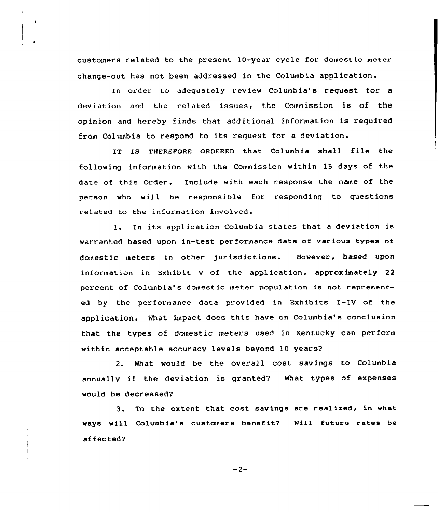customers related to the present 10-year cycle for domestic meter change-out has not been addressed in the Colmnbia application.

In order to adequately review Columbia's request for a deviation and the related issues, the Conunission is of the opinion and hereby finds that additional information is required from Colunbia to respond to its request for <sup>a</sup> deviation.

IT IS THEREFORE ORDERED that Columbia shall file the following information with the Commission within 15 days of the date of this Order. Include with each response the nane of the person who will be responsible for responding to questions related to the information involved.

l. In its application Columbia states that <sup>a</sup> deviation is warranted based upon in-test performance data of various types of domestic meters in other jurisdictions. However, based upon information in Exhibit <sup>V</sup> of the application, approximately 22 percent of Columbia's domestic meter population is not represented by the performance data provided in Exhibits I-IV of the application. What impact does this have on Columbia's conclusion that the types of domestic meters used in Kentucky can perform within acceptable accuracy levels beyond 10 years?

2. What would be the overall cost savings to Columbia annually if the deviation is granted? What types of expenses would be decreased?

3. To the extent that cost savings are realized, in what ways will Columbia's customers benefit? Will future rates be af fected?

 $-2-$